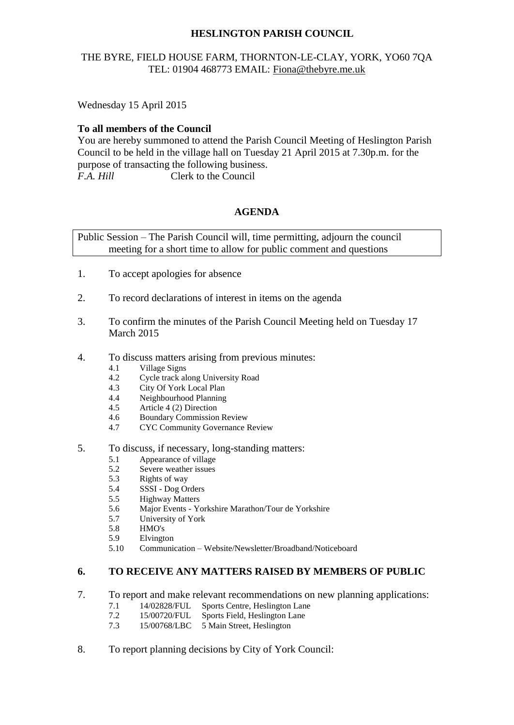# **HESLINGTON PARISH COUNCIL**

# THE BYRE, FIELD HOUSE FARM, THORNTON-LE-CLAY, YORK, YO60 7QA TEL: 01904 468773 EMAIL: [Fiona@thebyre.me.uk](mailto:Fiona@thebyre.me.uk)

Wednesday 15 April 2015

#### **To all members of the Council**

You are hereby summoned to attend the Parish Council Meeting of Heslington Parish Council to be held in the village hall on Tuesday 21 April 2015 at 7.30p.m. for the purpose of transacting the following business. *F.A. Hill* Clerk to the Council

### **AGENDA**

Public Session – The Parish Council will, time permitting, adjourn the council meeting for a short time to allow for public comment and questions

- 1. To accept apologies for absence
- 2. To record declarations of interest in items on the agenda
- 3. To confirm the minutes of the Parish Council Meeting held on Tuesday 17 March 2015
- 4. To discuss matters arising from previous minutes:
	- 4.1 Village Signs
	- 4.2 Cycle track along University Road
	- 4.3 City Of York Local Plan
	- 4.4 Neighbourhood Planning
	- 4.5 Article 4 (2) Direction
	- 4.6 Boundary Commission Review
	- 4.7 CYC Community Governance Review
- 5. To discuss, if necessary, long-standing matters:
	- 5.1 Appearance of village
	- 5.2 Severe weather issues
	- 5.3 Rights of way
	- 5.4 SSSI Dog Orders
	- 5.5 Highway Matters
	- 5.6 Major Events Yorkshire Marathon/Tour de Yorkshire
	- 5.7 University of York
	- 5.8 HMO's
	- 5.9 Elvington
	- 5.10 Communication Website/Newsletter/Broadband/Noticeboard

## **6. TO RECEIVE ANY MATTERS RAISED BY MEMBERS OF PUBLIC**

- 7. To report and make relevant recommendations on new planning applications:
	- 7.1 14/02828/FUL Sports Centre, Heslington Lane
	- 7.2 15/00720/FUL Sports Field, Heslington Lane
	- 7.3 15/00768/LBC 5 Main Street, Heslington
- 8. To report planning decisions by City of York Council: